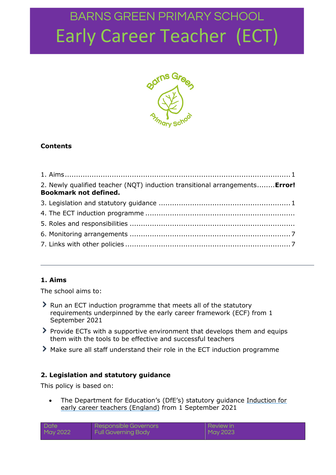

### **Contents**

| 2. Newly qualified teacher (NQT) induction transitional arrangements Error!<br><b>Bookmark not defined.</b> |  |
|-------------------------------------------------------------------------------------------------------------|--|
|                                                                                                             |  |
|                                                                                                             |  |
|                                                                                                             |  |
|                                                                                                             |  |
|                                                                                                             |  |

#### <span id="page-0-0"></span>**1. Aims**

The school aims to:

- Run an ECT induction programme that meets all of the statutory requirements underpinned by the early career framework (ECF) from 1 September 2021
- Provide ECTs with a supportive environment that develops them and equips them with the tools to be effective and successful teachers
- Make sure all staff understand their role in the ECT induction programme

#### <span id="page-0-1"></span>**2. Legislation and statutory guidance**

This policy is based on:

 The Department for Education's (DfE's) statutory guidance [Induction for](https://www.gov.uk/government/publications/induction-for-early-career-teachers-england)  [early career teachers \(England\)](https://www.gov.uk/government/publications/induction-for-early-career-teachers-england) from 1 September 2021

| <b>Date</b> | Responsible Governors      | Review in |
|-------------|----------------------------|-----------|
| May 2022    | <b>Full Governing Body</b> | May 2023  |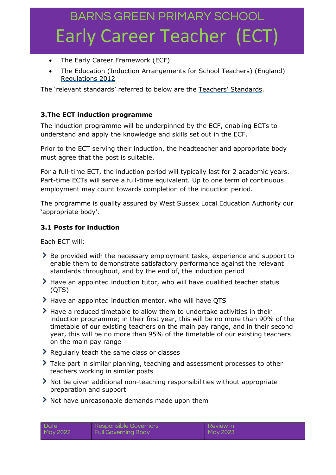- The Early Career Framework (ECF)
- [The Education \(Induction Arrangements for School Teachers\) \(England\)](http://www.legislation.gov.uk/uksi/2012/1115/contents/made)  [Regulations 2012](http://www.legislation.gov.uk/uksi/2012/1115/contents/made)

The 'relevant standards' referred to below are the [Teachers' Standards](https://www.gov.uk/government/publications/teachers-standards).

#### **3.The ECT induction programme**

The induction programme will be underpinned by the ECF, enabling ECTs to understand and apply the knowledge and skills set out in the ECF.

Prior to the ECT serving their induction, the headteacher and appropriate body must agree that the post is suitable.

For a full-time ECT, the induction period will typically last for 2 academic years. Part-time ECTs will serve a full-time equivalent. Up to one term of continuous employment may count towards completion of the induction period.

The programme is quality assured by West Sussex Local Education Authority our 'appropriate body'.

#### **3.1 Posts for induction**

Each ECT will:

- Be provided with the necessary employment tasks, experience and support to enable them to demonstrate satisfactory performance against the relevant standards throughout, and by the end of, the induction period
- Have an appointed induction tutor, who will have qualified teacher status (QTS)
- > Have an appointed induction mentor, who will have QTS
- Have a reduced timetable to allow them to undertake activities in their induction programme; in their first year, this will be no more than 90% of the timetable of our existing teachers on the main pay range, and in their second year, this will be no more than 95% of the timetable of our existing teachers on the main pay range
- Regularly teach the same class or classes
- Take part in similar planning, teaching and assessment processes to other teachers working in similar posts
- Not be given additional non-teaching responsibilities without appropriate preparation and support
- $\blacktriangleright$  Not have unreasonable demands made upon them

| Date     | Responsible Governors      | <b>Review in</b> |
|----------|----------------------------|------------------|
| May 2022 | <b>Full Governing Body</b> | May 2023         |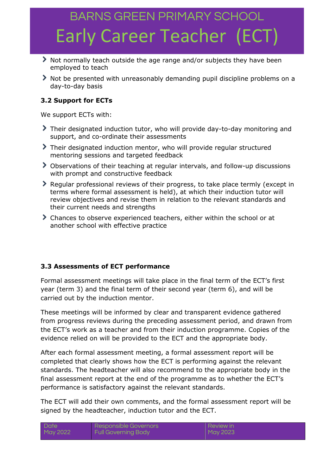- Not normally teach outside the age range and/or subjects they have been employed to teach
- Not be presented with unreasonably demanding pupil discipline problems on a day-to-day basis

### **3.2 Support for ECTs**

We support ECTs with:

- Their designated induction tutor, who will provide day-to-day monitoring and support, and co-ordinate their assessments
- Their designated induction mentor, who will provide regular structured mentoring sessions and targeted feedback
- Observations of their teaching at regular intervals, and follow-up discussions with prompt and constructive feedback
- Regular professional reviews of their progress, to take place termly (except in terms where formal assessment is held), at which their induction tutor will review objectives and revise them in relation to the relevant standards and their current needs and strengths
- Chances to observe experienced teachers, either within the school or at another school with effective practice

#### **3.3 Assessments of ECT performance**

Formal assessment meetings will take place in the final term of the ECT's first year (term 3) and the final term of their second year (term 6), and will be carried out by the induction mentor.

These meetings will be informed by clear and transparent evidence gathered from progress reviews during the preceding assessment period, and drawn from the ECT's work as a teacher and from their induction programme. Copies of the evidence relied on will be provided to the ECT and the appropriate body.

After each formal assessment meeting, a formal assessment report will be completed that clearly shows how the ECT is performing against the relevant standards. The headteacher will also recommend to the appropriate body in the final assessment report at the end of the programme as to whether the ECT's performance is satisfactory against the relevant standards.

The ECT will add their own comments, and the formal assessment report will be signed by the headteacher, induction tutor and the ECT.

| <b>Date</b> | Responsible Governors      | I Review in |
|-------------|----------------------------|-------------|
| May 2022    | <b>Full Governing Body</b> | May 2023    |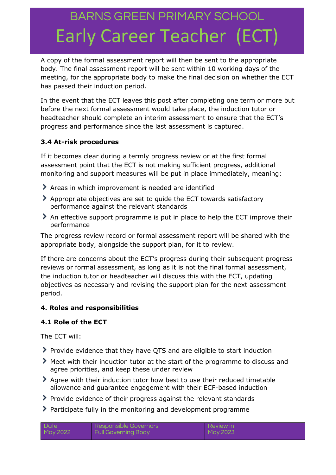A copy of the formal assessment report will then be sent to the appropriate body. The final assessment report will be sent within 10 working days of the meeting, for the appropriate body to make the final decision on whether the ECT has passed their induction period.

In the event that the ECT leaves this post after completing one term or more but before the next formal assessment would take place, the induction tutor or headteacher should complete an interim assessment to ensure that the ECT's progress and performance since the last assessment is captured.

### **3.4 At-risk procedures**

If it becomes clear during a termly progress review or at the first formal assessment point that the ECT is not making sufficient progress, additional monitoring and support measures will be put in place immediately, meaning:

- Areas in which improvement is needed are identified
- Appropriate objectives are set to guide the ECT towards satisfactory performance against the relevant standards
- An effective support programme is put in place to help the ECT improve their performance

The progress review record or formal assessment report will be shared with the appropriate body, alongside the support plan, for it to review.

If there are concerns about the ECT's progress during their subsequent progress reviews or formal assessment, as long as it is not the final formal assessment, the induction tutor or headteacher will discuss this with the ECT, updating objectives as necessary and revising the support plan for the next assessment period.

#### **4. Roles and responsibilities**

#### **4.1 Role of the ECT**

The ECT will:

- Provide evidence that they have QTS and are eligible to start induction
- Meet with their induction tutor at the start of the programme to discuss and agree priorities, and keep these under review
- Agree with their induction tutor how best to use their reduced timetable allowance and guarantee engagement with their ECF-based induction
- Provide evidence of their progress against the relevant standards
- Participate fully in the monitoring and development programme

| Date     | Responsible Governors      | Review in |
|----------|----------------------------|-----------|
| May 2022 | <b>Full Governing Body</b> | May 2023  |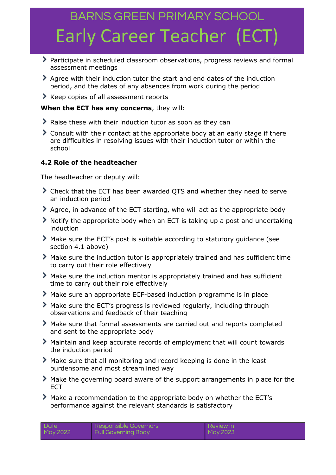- Participate in scheduled classroom observations, progress reviews and formal assessment meetings
- Agree with their induction tutor the start and end dates of the induction period, and the dates of any absences from work during the period
- Keep copies of all assessment reports

#### **When the ECT has any concerns**, they will:

- Raise these with their induction tutor as soon as they can
- Consult with their contact at the appropriate body at an early stage if there are difficulties in resolving issues with their induction tutor or within the school

### **4.2 Role of the headteacher**

The headteacher or deputy will:

- Check that the ECT has been awarded QTS and whether they need to serve an induction period
- Agree, in advance of the ECT starting, who will act as the appropriate body
- Notify the appropriate body when an ECT is taking up a post and undertaking induction
- Make sure the ECT's post is suitable according to statutory guidance (see section 4.1 above)
- Make sure the induction tutor is appropriately trained and has sufficient time to carry out their role effectively
- Make sure the induction mentor is appropriately trained and has sufficient time to carry out their role effectively
- Make sure an appropriate ECF-based induction programme is in place
- Make sure the ECT's progress is reviewed regularly, including through observations and feedback of their teaching
- Make sure that formal assessments are carried out and reports completed and sent to the appropriate body
- Maintain and keep accurate records of employment that will count towards the induction period
- Make sure that all monitoring and record keeping is done in the least burdensome and most streamlined way
- Make the governing board aware of the support arrangements in place for the **FCT**
- Make a recommendation to the appropriate body on whether the ECT's performance against the relevant standards is satisfactory

| - Date   | Responsible Governors      | Review in |
|----------|----------------------------|-----------|
| May 2022 | <b>Full Governing Body</b> | May 2023  |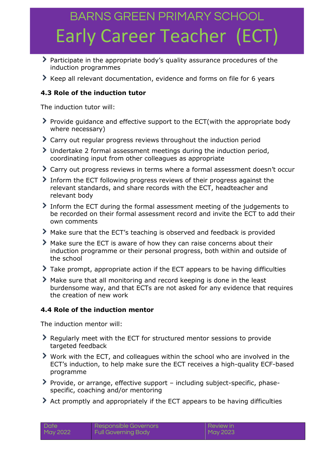- Participate in the appropriate body's quality assurance procedures of the induction programmes
- Keep all relevant documentation, evidence and forms on file for 6 years

### **4.3 Role of the induction tutor**

The induction tutor will:

- Provide guidance and effective support to the ECT(with the appropriate body where necessary)
- Carry out regular progress reviews throughout the induction period
- Undertake 2 formal assessment meetings during the induction period, coordinating input from other colleagues as appropriate
- Carry out progress reviews in terms where a formal assessment doesn't occur
- Inform the ECT following progress reviews of their progress against the relevant standards, and share records with the ECT, headteacher and relevant body
- Inform the ECT during the formal assessment meeting of the judgements to be recorded on their formal assessment record and invite the ECT to add their own comments
- Make sure that the ECT's teaching is observed and feedback is provided
- Make sure the ECT is aware of how they can raise concerns about their induction programme or their personal progress, both within and outside of the school
- Take prompt, appropriate action if the ECT appears to be having difficulties
- Make sure that all monitoring and record keeping is done in the least burdensome way, and that ECTs are not asked for any evidence that requires the creation of new work

#### **4.4 Role of the induction mentor**

The induction mentor will:

- Regularly meet with the ECT for structured mentor sessions to provide targeted feedback
- Work with the ECT, and colleagues within the school who are involved in the ECT's induction, to help make sure the ECT receives a high-quality ECF-based programme
- Provide, or arrange, effective support including subject-specific, phasespecific, coaching and/or mentoring
- Act promptly and appropriately if the ECT appears to be having difficulties

| Date     | Responsible Governors      | <b>Review in</b> |
|----------|----------------------------|------------------|
| May 2022 | <b>Full Governing Body</b> | May 2023         |